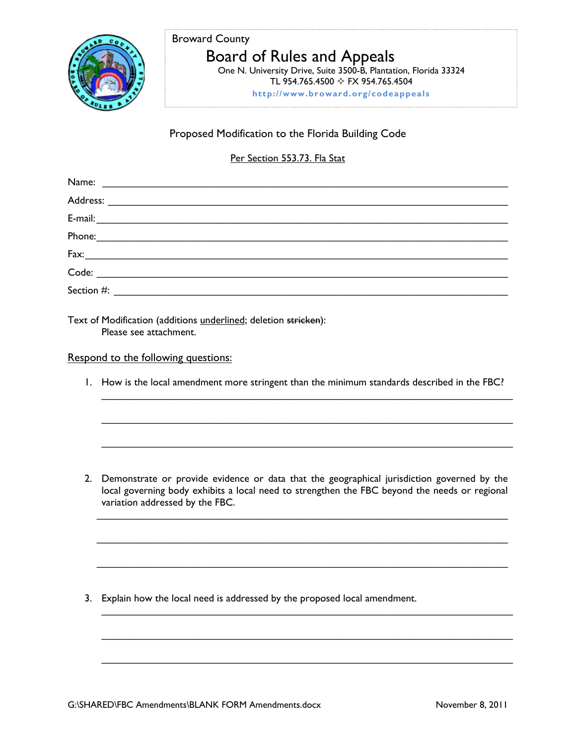

### Broward County

# Board of Rules and Appeals

 One N. University Drive, Suite 3500-B, Plantation, Florida 33324 TL 954.765.4500 FX 954.765.4504

**http://www.broward.org/codeappeals**

## Proposed Modification to the Florida Building Code

#### Per Section 553.73. Fla Stat

| Name:                                                                                                                                                                                                                                                                                                                                                                                                                                                                                                                                                                                                                                                                                  |  |
|----------------------------------------------------------------------------------------------------------------------------------------------------------------------------------------------------------------------------------------------------------------------------------------------------------------------------------------------------------------------------------------------------------------------------------------------------------------------------------------------------------------------------------------------------------------------------------------------------------------------------------------------------------------------------------------|--|
|                                                                                                                                                                                                                                                                                                                                                                                                                                                                                                                                                                                                                                                                                        |  |
| $E-mail: \begin{tabular}{ c c c } \hline \multicolumn{3}{ c }{0.9\textwidth} \includegraphics{8}{\textwidth} \includegraphics{8}{\textwidth} \includegraphics{8}{\textwidth} \includegraphics{8}{\textwidth} \includegraphics{8}{\textwidth} \includegraphics{8}{\textwidth} \includegraphics{8}{\textwidth} \includegraphics{8}{\textwidth} \includegraphics{8}{\textwidth} \includegraphics{8}{\textwidth} \includegraphics{8}{\textwidth} \includegraphics{8}{\textwidth} \includegraphics{8}{\textwidth} \includegraphics{8}{\textwidth} \includegraphics{8}{\textwidth} \includegraphics{8}{\textwidth} \includegraphics{8}{\textwidth} \includegraphics{8}{\textwidth} \include$ |  |
| Phone: 2000 Contract Contract Contract Contract Contract Contract Contract Contract Contract Contract Contract Contract Contract Contract Contract Contract Contract Contract Contract Contract Contract Contract Contract Con                                                                                                                                                                                                                                                                                                                                                                                                                                                         |  |
| $\text{Fax:}\underline{\hspace{2cm}}\underline{\hspace{2cm}}\underline{\hspace{2cm}}\underline{\hspace{2cm}}\underline{\hspace{2cm}}\underline{\hspace{2cm}}\underline{\hspace{2cm}}\underline{\hspace{2cm}}\underline{\hspace{2cm}}\underline{\hspace{2cm}}\underline{\hspace{2cm}}\underline{\hspace{2cm}}\underline{\hspace{2cm}}\underline{\hspace{2cm}}\underline{\hspace{2cm}}\underline{\hspace{2cm}}\underline{\hspace{2cm}}\underline{\hspace{2cm}}\underline{\hspace{2cm}}\underline{\hspace{2cm}}\underline{\hspace{2cm}}\underline{\hspace{2cm}}\underline{\hspace{2cm}}\underline{\hspace{2$                                                                              |  |
|                                                                                                                                                                                                                                                                                                                                                                                                                                                                                                                                                                                                                                                                                        |  |
| Section #:<br><u> 1980 - Andrea Britain, politik e</u> ta p                                                                                                                                                                                                                                                                                                                                                                                                                                                                                                                                                                                                                            |  |

Text of Modification (additions *underlined*; deletion stricken): Please see attachment.

#### Respond to the following questions:

1. How is the local amendment more stringent than the minimum standards described in the FBC?

 $\_$  , and the contribution of the contribution of  $\mathcal{L}_\mathcal{A}$  , and the contribution of  $\mathcal{L}_\mathcal{A}$ 

 $\_$  , and the contribution of the contribution of  $\mathcal{L}_\mathcal{A}$  , and the contribution of  $\mathcal{L}_\mathcal{A}$ 

 $\_$  , and the contribution of the contribution of  $\mathcal{L}_\mathcal{A}$  , and the contribution of  $\mathcal{L}_\mathcal{A}$ 

2. Demonstrate or provide evidence or data that the geographical jurisdiction governed by the local governing body exhibits a local need to strengthen the FBC beyond the needs or regional variation addressed by the FBC.

 $\mathcal{L}_\text{max}$  , and the contribution of the contribution of the contribution of the contribution of the contribution of the contribution of the contribution of the contribution of the contribution of the contribution of t

 $\mathcal{L}_\text{max}$  , and the contribution of the contribution of the contribution of the contribution of the contribution of the contribution of the contribution of the contribution of the contribution of the contribution of t

 $\mathcal{L}_\text{max}$  , and the contribution of the contribution of the contribution of the contribution of the contribution of the contribution of the contribution of the contribution of the contribution of the contribution of t

 $\_$  , and the contribution of the contribution of  $\mathcal{L}_\mathcal{A}$  , and the contribution of  $\mathcal{L}_\mathcal{A}$ 

 $\_$  , and the contribution of the contribution of  $\mathcal{L}_\mathcal{A}$  , and the contribution of  $\mathcal{L}_\mathcal{A}$ 

 $\_$  , and the contribution of the contribution of  $\mathcal{L}_\mathcal{A}$  , and the contribution of  $\mathcal{L}_\mathcal{A}$ 

3. Explain how the local need is addressed by the proposed local amendment.